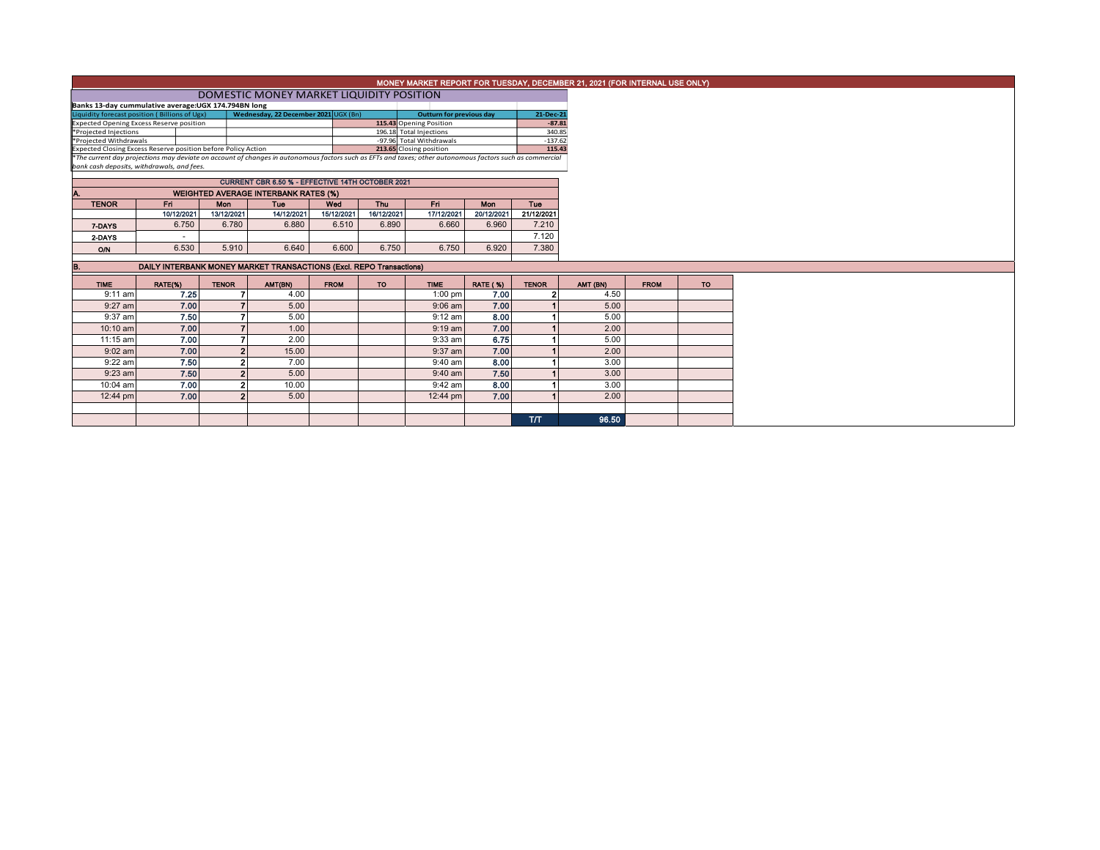|                                                                                                                                                                                                                                                      |                                                                                                                          |                                                  |                                             |             |            |                                                                           |                 |                     | MONEY MARKET REPORT FOR TUESDAY, DECEMBER 21, 2021 (FOR INTERNAL USE ONLY) |             |           |  |  |  |
|------------------------------------------------------------------------------------------------------------------------------------------------------------------------------------------------------------------------------------------------------|--------------------------------------------------------------------------------------------------------------------------|--------------------------------------------------|---------------------------------------------|-------------|------------|---------------------------------------------------------------------------|-----------------|---------------------|----------------------------------------------------------------------------|-------------|-----------|--|--|--|
|                                                                                                                                                                                                                                                      |                                                                                                                          | DOMESTIC MONEY MARKET LIQUIDITY POSITION         |                                             |             |            |                                                                           |                 |                     |                                                                            |             |           |  |  |  |
| Banks 13-day cummulative average: UGX 174.794BN long                                                                                                                                                                                                 |                                                                                                                          |                                                  |                                             |             |            |                                                                           |                 |                     |                                                                            |             |           |  |  |  |
|                                                                                                                                                                                                                                                      | Liquidity forecast position (Billions of Ugx)<br>Wednesday, 22 December 2021 UGX (Bn)<br><b>Outturn for previous day</b> |                                                  |                                             |             |            |                                                                           |                 |                     |                                                                            |             |           |  |  |  |
|                                                                                                                                                                                                                                                      | 115.43 Opening Position<br><b>Expected Opening Excess Reserve position</b>                                               |                                                  |                                             |             |            |                                                                           |                 |                     |                                                                            |             |           |  |  |  |
| *Projected Injections                                                                                                                                                                                                                                |                                                                                                                          |                                                  |                                             |             |            | 196.18 Total Injections                                                   |                 | 340.85              |                                                                            |             |           |  |  |  |
| *Projected Withdrawals                                                                                                                                                                                                                               |                                                                                                                          |                                                  |                                             |             |            | -97.96 Total Withdrawals                                                  |                 | $-137.62$<br>115.43 |                                                                            |             |           |  |  |  |
| Expected Closing Excess Reserve position before Policy Action<br>213.65 Closing position<br>*The current day projections may deviate on account of changes in autonomous factors such as EFTs and taxes; other autonomous factors such as commercial |                                                                                                                          |                                                  |                                             |             |            |                                                                           |                 |                     |                                                                            |             |           |  |  |  |
| bank cash deposits, withdrawals, and fees.                                                                                                                                                                                                           |                                                                                                                          |                                                  |                                             |             |            |                                                                           |                 |                     |                                                                            |             |           |  |  |  |
|                                                                                                                                                                                                                                                      |                                                                                                                          |                                                  |                                             |             |            |                                                                           |                 |                     |                                                                            |             |           |  |  |  |
|                                                                                                                                                                                                                                                      |                                                                                                                          | CURRENT CBR 6.50 % - EFFECTIVE 14TH OCTOBER 2021 |                                             |             |            |                                                                           |                 |                     |                                                                            |             |           |  |  |  |
|                                                                                                                                                                                                                                                      |                                                                                                                          |                                                  | <b>WEIGHTED AVERAGE INTERBANK RATES (%)</b> |             |            |                                                                           |                 |                     |                                                                            |             |           |  |  |  |
| <b>TENOR</b>                                                                                                                                                                                                                                         | Fri                                                                                                                      | Mon                                              | Tue                                         | Wed         | <b>Thu</b> | Fri.                                                                      | Mon             | Tue                 |                                                                            |             |           |  |  |  |
|                                                                                                                                                                                                                                                      | 10/12/2021                                                                                                               | 13/12/2021                                       | 14/12/2021                                  | 15/12/2021  | 16/12/2021 | 17/12/2021                                                                | 20/12/2021      | 21/12/2021          |                                                                            |             |           |  |  |  |
| 7-DAYS                                                                                                                                                                                                                                               | 6.750                                                                                                                    | 6.780                                            | 6.880                                       | 6.510       | 6.890      | 6.660                                                                     | 6.960           | 7.210               |                                                                            |             |           |  |  |  |
| 2-DAYS                                                                                                                                                                                                                                               |                                                                                                                          |                                                  |                                             |             |            |                                                                           |                 | 7.120               |                                                                            |             |           |  |  |  |
| O/N                                                                                                                                                                                                                                                  | 6.530                                                                                                                    | 5.910                                            | 6.640                                       | 6.600       | 6.750      | 6.750                                                                     | 6.920           | 7.380               |                                                                            |             |           |  |  |  |
|                                                                                                                                                                                                                                                      |                                                                                                                          |                                                  |                                             |             |            |                                                                           |                 |                     |                                                                            |             |           |  |  |  |
|                                                                                                                                                                                                                                                      |                                                                                                                          |                                                  |                                             |             |            | DAILY INTERBANK MONEY MARKET TRANSACTIONS (Excl. REPO Transactions)<br>B. |                 |                     |                                                                            |             |           |  |  |  |
| <b>TIME</b>                                                                                                                                                                                                                                          | RATE(%)                                                                                                                  |                                                  |                                             |             |            |                                                                           |                 |                     |                                                                            |             |           |  |  |  |
|                                                                                                                                                                                                                                                      |                                                                                                                          | <b>TENOR</b>                                     | AMT(BN)                                     | <b>FROM</b> | <b>TO</b>  | <b>TIME</b>                                                               | <b>RATE (%)</b> | <b>TENOR</b>        | AMT (BN)                                                                   | <b>FROM</b> | <b>TO</b> |  |  |  |
| $9:11$ am                                                                                                                                                                                                                                            | 7.25                                                                                                                     |                                                  | 4.00                                        |             |            | $1:00$ pm                                                                 | 7.00            |                     | 4.50                                                                       |             |           |  |  |  |
| $9:27$ am                                                                                                                                                                                                                                            | 7.00                                                                                                                     |                                                  | 5.00                                        |             |            | $9:06$ am                                                                 | 7.00            |                     | 5.00                                                                       |             |           |  |  |  |
| 9:37 am                                                                                                                                                                                                                                              | 7.50                                                                                                                     |                                                  | 5.00                                        |             |            | $9:12$ am                                                                 | 8.00            |                     | 5.00                                                                       |             |           |  |  |  |
| 10:10 am                                                                                                                                                                                                                                             | 7.00                                                                                                                     |                                                  | 1.00                                        |             |            | $9:19$ am                                                                 | 7.00            |                     | 2.00                                                                       |             |           |  |  |  |
| 11:15 am                                                                                                                                                                                                                                             | 7.00                                                                                                                     |                                                  | 2.00                                        |             |            | 9:33 am                                                                   | 6.75            |                     | 5.00                                                                       |             |           |  |  |  |
| $9:02$ am                                                                                                                                                                                                                                            | 7.00                                                                                                                     | ິ                                                | 15.00                                       |             |            | 9:37 am                                                                   | 7.00            |                     | 2.00                                                                       |             |           |  |  |  |
| $9:22$ am                                                                                                                                                                                                                                            | 7.50                                                                                                                     |                                                  | 7.00                                        |             |            | 9:40 am                                                                   | 8.00            |                     | 3.00                                                                       |             |           |  |  |  |
| $9:23$ am                                                                                                                                                                                                                                            | 7.50                                                                                                                     |                                                  | 5.00                                        |             |            | $9:40$ am                                                                 | 7.50            |                     | 3.00                                                                       |             |           |  |  |  |
| 10:04 am                                                                                                                                                                                                                                             | 7.00                                                                                                                     | ົ                                                | 10.00                                       |             |            | 9:42 am                                                                   | 8.00            |                     | 3.00                                                                       |             |           |  |  |  |
| 12:44 pm                                                                                                                                                                                                                                             | 7.00                                                                                                                     |                                                  | 5.00                                        |             |            | 12:44 pm                                                                  | 7.00            |                     | 2.00                                                                       |             |           |  |  |  |
|                                                                                                                                                                                                                                                      |                                                                                                                          |                                                  |                                             |             |            |                                                                           |                 |                     |                                                                            |             |           |  |  |  |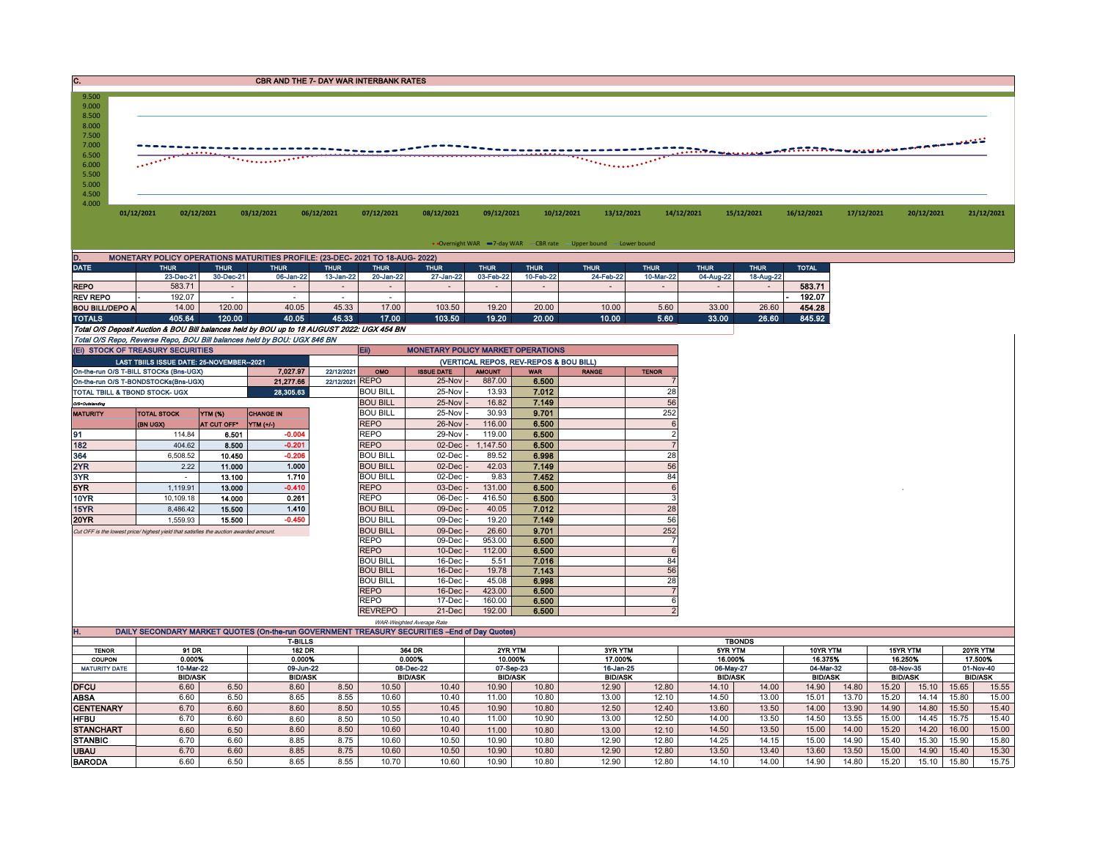| 9.500<br>9.000<br>8.500<br>8.000<br>7.500<br>7.000 |            |            |            |            |            |            |            |                               |            |            |            |            |            |            |            |
|----------------------------------------------------|------------|------------|------------|------------|------------|------------|------------|-------------------------------|------------|------------|------------|------------|------------|------------|------------|
| 6.500<br>6.000<br>5.500<br>5.000<br>4.500<br>4.000 |            |            |            |            |            |            |            | <u> ANTEREST MARIE (1997)</u> |            |            |            |            |            |            |            |
|                                                    | 01/12/2021 | 02/12/2021 | 03/12/2021 | 06/12/2021 | 07/12/2021 | 08/12/2021 | 09/12/2021 | 10/12/2021                    | 13/12/2021 | 14/12/2021 | 15/12/2021 | 16/12/2021 | 17/12/2021 | 20/12/2021 | 21/12/2021 |

• Overnight WAR -7-day WAR CBR rate -Upper bound - Lower bound

| D.                                                                                         | MONETARY POLICY OPERATIONS MATURITIES PROFILE: (23-DEC- 2021 TO 18-AUG- 2022) |             |             |                          |             |                                          |             |             |             |             |             |             |              |  |
|--------------------------------------------------------------------------------------------|-------------------------------------------------------------------------------|-------------|-------------|--------------------------|-------------|------------------------------------------|-------------|-------------|-------------|-------------|-------------|-------------|--------------|--|
| <b>DATE</b>                                                                                | <b>THUR</b>                                                                   | <b>THUR</b> | <b>THUR</b> | <b>THUR</b>              | <b>THUR</b> | <b>THUR</b>                              | <b>THUR</b> | <b>THUR</b> | <b>THUR</b> | <b>THUR</b> | <b>THUR</b> | <b>THUR</b> | <b>TOTAL</b> |  |
|                                                                                            | 23-Dec-21                                                                     | 30-Dec-21   | 06-Jan-22   | 13-Jan-22                | 20-Jan-22   | 27-Jan-22                                | 03-Feb-22   | 10-Feb-22   | 24-Feb-22   | 10-Mar-22   | 04-Aug-22   | 18-Aug-22   |              |  |
| <b>REPO</b>                                                                                | 583.71                                                                        |             |             | $\overline{\phantom{a}}$ |             |                                          |             | ٠           |             |             |             |             | 583.71       |  |
| <b>REV REPO</b>                                                                            | 192.07                                                                        |             |             |                          |             |                                          |             |             |             |             |             |             | 192.07       |  |
| <b>BOU BILL/DEPO A</b>                                                                     | 14.00                                                                         | 120.00      | 40.05       | 45.33                    | 17.00       | 103.50                                   | 19.20       | 20.00       | 10.00       | 5.60        | 33.00       | 26.60       | 454.28       |  |
| <b>TOTALS</b>                                                                              | 405.64                                                                        | 120.00      | 40.05       | 45.33                    | 17.00       | 103.50                                   | 19.20       | 20.00       | 10.00       | 5.60        | 33.00       | 26.60       | 845.92       |  |
| Total O/S Deposit Auction & BOU Bill balances held by BOU up to 18 AUGUST 2022: UGX 454 BN |                                                                               |             |             |                          |             |                                          |             |             |             |             |             |             |              |  |
| Total O/S Repo, Reverse Repo, BOU Bill balances held by BOU: UGX 846 BN                    |                                                                               |             |             |                          |             |                                          |             |             |             |             |             |             |              |  |
| (EI) STOCK OF TREASURY SECURITIES                                                          |                                                                               |             |             |                          | <b>Ei</b>   | <b>MONETARY POLICY MARKET OPERATIONS</b> |             |             |             |             |             |             |              |  |

|                                      | (EI) STOCK OF TREASURY SECURITIES                                                     |                    |                  |                                        | Eii)            | <b>MONETARY POLICY MARKET OPERATIONS</b> |               |            |              |                |
|--------------------------------------|---------------------------------------------------------------------------------------|--------------------|------------------|----------------------------------------|-----------------|------------------------------------------|---------------|------------|--------------|----------------|
|                                      | LAST TBIILS ISSUE DATE: 25-NOVEMBER--2021                                             |                    |                  | (VERTICAL REPOS, REV-REPOS & BOU BILL) |                 |                                          |               |            |              |                |
|                                      | On-the-run O/S T-BILL STOCKs (Bns-UGX)                                                |                    | 7.027.97         | 22/12/2021                             | OMO             | <b>ISSUE DATE</b>                        | <b>AMOUNT</b> | <b>WAR</b> | <b>RANGE</b> | <b>TENOR</b>   |
| On-the-run O/S T-BONDSTOCKs(Bns-UGX) | 22/12/2021 REPO                                                                       |                    | 25-Nov -         | 887.00                                 | 6.500           |                                          |               |            |              |                |
|                                      | <b>TOTAL TBILL &amp; TBOND STOCK- UGX</b>                                             |                    | <b>BOU BILL</b>  | 25-Nov -                               | 13.93           | 7.012                                    |               | 28         |              |                |
| O/S=Outstanding                      |                                                                                       |                    |                  |                                        | <b>BOU BILL</b> | 25-Nov -                                 | 16.82         | 7.149      |              | 56             |
| <b>MATURITY</b>                      | <b>TOTAL STOCK</b>                                                                    | <b>YTM (%)</b>     | <b>CHANGE IN</b> |                                        | <b>BOU BILL</b> | 25-Nov -                                 | 30.93         | 9.701      |              | 252            |
|                                      | (BN UGX)                                                                              | <b>AT CUT OFF*</b> | YTM (+/-)        |                                        | <b>REPO</b>     | 26-Nov                                   | 116.00        | 6.500      |              | 6              |
| 91                                   | 114.84                                                                                | 6.501              | $-0.004$         |                                        | <b>REPO</b>     | 29-Nov                                   | 119.00        | 6.500      |              | $\overline{2}$ |
| 182                                  | 404.62                                                                                | 8.500              | $-0.201$         |                                        | <b>REPO</b>     | $02$ -Dec                                | 1.147.50      | 6.500      |              |                |
| 364                                  | 6.508.52                                                                              | 10.450             | $-0.206$         |                                        | <b>BOU BILL</b> | 02-Dec -                                 | 89.52         | 6.998      |              | 28             |
| 2YR                                  | 2.22                                                                                  | 11.000             | 1.000            |                                        | <b>BOU BILL</b> | $02$ -Dec $-$                            | 42.03         | 7.149      |              | 56             |
| 3YR                                  |                                                                                       | 13.100             | 1.710            |                                        | <b>BOU BILL</b> | $02$ -Dec $-$                            | 9.83          | 7.452      |              | 84             |
| 5YR                                  | 1.119.91                                                                              | 13.000             | $-0.410$         |                                        | <b>REPO</b>     | $03$ -Dec $-$                            | 131.00        | 6.500      |              | 6              |
| 10YR                                 | 10.109.18                                                                             | 14.000             | 0.261            |                                        | <b>REPO</b>     | 06-Dec                                   | 416.50        | 6.500      |              | 3              |
| 15YR                                 | 8.486.42                                                                              | 15.500             | 1.410            |                                        | <b>BOU BILL</b> | $09$ -Dec $\cdot$                        | 40.05         | 7.012      |              | 28             |
| <b>20YR</b>                          | 1,559.93                                                                              | 15.500             | $-0.450$         |                                        | <b>BOU BILL</b> | 09-Dec -                                 | 19.20         | 7.149      |              | 56             |
|                                      | Cut OFF is the lowest price/ highest vield that satisfies the auction awarded amount. |                    |                  |                                        | <b>BOU BILL</b> | 09-Dec -                                 | 26.60         | 9.701      |              | 252            |
|                                      |                                                                                       |                    |                  |                                        | <b>REPO</b>     | 09-Dec                                   | 953.00        | 6.500      |              |                |
|                                      |                                                                                       |                    |                  |                                        | <b>REPO</b>     | $10$ -Dec $-$                            | 112.00        | 6.500      |              | 6              |
|                                      |                                                                                       |                    |                  |                                        | <b>BOU BILL</b> | 16-Dec -                                 | 5.51          | 7.016      |              | 84             |
|                                      |                                                                                       |                    |                  |                                        | <b>BOU BILL</b> | $16$ -Dec $-$                            | 19.78         | 7.143      |              | 56             |
|                                      |                                                                                       |                    |                  |                                        | <b>BOU BILL</b> | 16-Dec -                                 | 45.08         | 6.998      |              | 28             |
|                                      |                                                                                       |                    |                  |                                        | <b>REPO</b>     | $16$ -Dec $-$                            | 423.00        | 6.500      |              |                |
|                                      |                                                                                       |                    |                  |                                        | <b>REPO</b>     | 17-Dec                                   | 160.00        | 6.500      |              | 6              |
|                                      |                                                                                       |                    |                  |                                        | <b>REVREPO</b>  | $21-Dec$                                 | 192.00        | 6.500      |              | $\overline{2}$ |

|                      |                                                                                               |      |                |           | WAR-Weighted Average Rate |       |               |                |           |                |           |                |           |                |           |                |                |         |  |
|----------------------|-----------------------------------------------------------------------------------------------|------|----------------|-----------|---------------------------|-------|---------------|----------------|-----------|----------------|-----------|----------------|-----------|----------------|-----------|----------------|----------------|---------|--|
| п.                   | DAILY SECONDARY MARKET QUOTES (On-the-run GOVERNMENT TREASURY SECURITIES --End of Day Quotes) |      |                |           |                           |       |               |                |           |                |           |                |           |                |           |                |                |         |  |
|                      |                                                                                               |      | T-BILLS        |           |                           |       | <b>TBONDS</b> |                |           |                |           |                |           |                |           |                |                |         |  |
| <b>TENOR</b>         | 91 DR                                                                                         |      | <b>182 DR</b>  |           | 364 DR                    |       |               | 2YR YTM        | 3YR YTM   |                | 5YR YTM   |                | 10YR YTM  |                | 15YR YTM  |                | 20YR YTM       |         |  |
| <b>COUPON</b>        | 0.000%                                                                                        |      | 0.000%         |           | 0.000%                    |       |               | 10.000%        |           | 17.000%        | 16.000%   |                | 16.375%   |                | 16.250%   |                |                | 17.500% |  |
| <b>MATURITY DATE</b> | 10-Mar-22                                                                                     |      | 09-Jun-22      | 08-Dec-22 |                           |       | 07-Sep-23     |                | 16-Jan-25 |                | 06-May-27 |                | 04-Mar-32 |                | 08-Nov-35 |                | 01-Nov-40      |         |  |
|                      | <b>BID/ASK</b>                                                                                |      | <b>BID/ASK</b> |           | <b>BID/ASK</b>            |       |               | <b>BID/ASK</b> |           | <b>BID/ASK</b> |           | <b>BID/ASK</b> |           | <b>BID/ASK</b> |           | <b>BID/ASK</b> | <b>BID/ASK</b> |         |  |
| <b>DFCU</b>          | 6.60                                                                                          | 6.50 | 8.60           | 8.50      | 10.50                     | 10.40 | 10.90         | 10.80          | 12.90     | 12.80          | 14.10     | 14.00          | 14.90     | 14.80          | 15.20     | 15.10          | 15.65          | 15.55   |  |
| ABSA                 | 6.60                                                                                          | 6.50 | 8.65           | 8.55      | 10.60                     | 10.40 | 11.00         | 10.80          | 13.00     | 12.10          | 14.50     | 13.00          | 15.01     | 13.70          | 15.20     | 14.14          | 15.80          | 15.00   |  |
| <b>CENTENARY</b>     | 6.70                                                                                          | 6.60 | 8.60           | 8.50      | 10.55                     | 10.45 | 10.90         | 10.80          | 12.50     | 12.40          | 13.60     | 13.50          | 14.00     | 13.90          | 14.90     | 14.80          | 15.50          | 15.40   |  |
| HFBU                 | 6.70                                                                                          | 6.60 | 8.60           | 8.50      | 10.50                     | 10.40 | 11.00         | 10.90          | 13.00     | 12.50          | 14.00     | 13.50          | 14.50     | 13.55          | 15.00     | 14.45          | 15.75          | 15.40   |  |
| <b>STANCHART</b>     | 6.60                                                                                          | 6.50 | 8.60           | 8.50      | 10.60                     | 10.40 | 11.00         | 10.80          | 13.00     | 12.10          | 14.50     | 13.50          | 15.00     | 14.00          | 15.20     | 14.20          | 16.00          | 15.00   |  |
| <b>STANBIC</b>       | 6.70                                                                                          | 6.60 | 8.85           | 8.75      | 10.60                     | 10.50 | 10.90         | 10.80          | 12.90     | 12.80          | 14.25     | 14.15          | 15.00     | 14.90          | 15.40     | 15.30          | 15.90          | 15.80   |  |
| <b>UBAU</b>          | 6.70                                                                                          | 6.60 | 8.85           | 8.75      | 10.60                     | 10.50 | 10.90         | 10.80          | 12.90     | 12.80          | 13.50     | 13.40          | 13.60     | 13.50          | 15.00     | 14.90          | 15.40          | 15.30   |  |
| <b>BARODA</b>        | 6.60                                                                                          | 6.50 | 8.65           | 8.55      | 10.70                     | 10.60 | 10.90         | 10.80          | 12.90     | 12.80          | 14.10     | 14.00          | 14.90     | 14.80          | 15.20     | 15.10          | 15.80          | 15.75   |  |